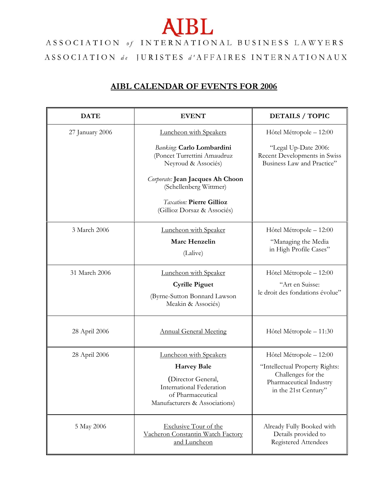## **AIBL**

## ASSOCIATION of INTERNATIONAL BUSINESS LAWYERS ASSOCIATION de JURISTES d'AFFAIRES INTERNATIONAUX

## **AIBL CALENDAR OF EVENTS FOR 2006**

| <b>DATE</b>     | <b>EVENT</b>                                                                                         | <b>DETAILS / TOPIC</b>                                                             |
|-----------------|------------------------------------------------------------------------------------------------------|------------------------------------------------------------------------------------|
| 27 January 2006 | Luncheon with Speakers                                                                               | Hôtel Métropole - 12:00                                                            |
|                 | Banking: Carlo Lombardini<br>(Poncet Turrettini Amaudruz<br>Neyroud & Associés)                      | "Legal Up-Date 2006:<br>Recent Developments in Swiss<br>Business Law and Practice" |
|                 | Corporate: Jean Jacques Ah Choon<br>(Schellenberg Wittmer)                                           |                                                                                    |
|                 | <b>Taxation: Pierre Gillioz</b><br>(Gillioz Dorsaz & Associés)                                       |                                                                                    |
| 3 March 2006    | Luncheon with Speaker                                                                                | Hôtel Métropole - 12:00                                                            |
|                 | Marc Henzelin                                                                                        | "Managing the Media                                                                |
|                 | (Lalive)                                                                                             | in High Profile Cases"                                                             |
| 31 March 2006   | Luncheon with Speaker                                                                                | Hôtel Métropole - 12:00                                                            |
|                 | <b>Cyrille Piguet</b>                                                                                | "Art en Suisse:                                                                    |
|                 | (Byrne-Sutton Bonnard Lawson<br>Meakin & Associés)                                                   | le droit des fondations évolue"                                                    |
| 28 April 2006   | <b>Annual General Meeting</b>                                                                        | Hôtel Métropole - 11:30                                                            |
| 28 April 2006   | Luncheon with Speakers                                                                               | Hôtel Métropole - 12:00                                                            |
|                 | <b>Harvey Bale</b>                                                                                   | "Intellectual Property Rights:                                                     |
|                 | (Director General,<br>International Federation<br>of Pharmaceutical<br>Manufacturers & Associations) | Challenges for the<br>Pharmaceutical Industry<br>in the 21st Century"              |
| 5 May 2006      | <b>Exclusive Tour of the</b><br>Vacheron Constantin Watch Factory<br>and Luncheon                    | Already Fully Booked with<br>Details provided to<br>Registered Attendees           |